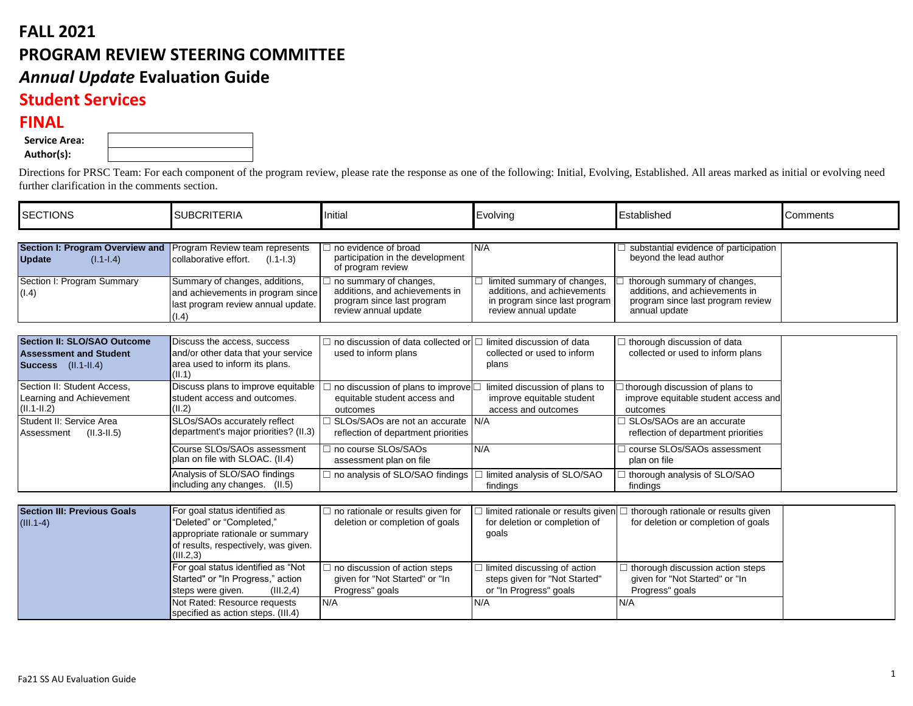## **FALL 2021 PROGRAM REVIEW STEERING COMMITTEE** *Annual Update* **Evaluation Guide Student Services**

## **FINAL**

|  | <b>Service Area:</b> |  |
|--|----------------------|--|
|  |                      |  |

**Author(s):**

Directions for PRSC Team: For each component of the program review, please rate the response as one of the following: Initial, Evolving, Established. All areas marked as initial or evolving need further clarification in the comments section.

| <b>SECTIONS</b>                                                          | <b>SUBCRITERIA</b>                                                                                                 | <b>Initial</b>                                                                                                 | Evolving                                                                                                            | Established                                                                                                          | Comments |
|--------------------------------------------------------------------------|--------------------------------------------------------------------------------------------------------------------|----------------------------------------------------------------------------------------------------------------|---------------------------------------------------------------------------------------------------------------------|----------------------------------------------------------------------------------------------------------------------|----------|
|                                                                          |                                                                                                                    |                                                                                                                |                                                                                                                     |                                                                                                                      |          |
| <b>Section I: Program Overview and</b><br><b>Update</b><br>$(l.1-l.4)$   | Program Review team represents<br>collaborative effort.<br>$(I.1-I.3)$                                             | no evidence of broad<br>participation in the development<br>of program review                                  | N/A                                                                                                                 | substantial evidence of participation<br>beyond the lead author                                                      |          |
| Section I: Program Summary<br>(1.4)                                      | Summary of changes, additions,<br>and achievements in program since<br>last program review annual update.<br>(1.4) | no summary of changes,<br>additions, and achievements in<br>program since last program<br>review annual update | limited summary of changes,<br>additions, and achievements<br>in program since last program<br>review annual update | thorough summary of changes,<br>additions, and achievements in<br>program since last program review<br>annual update |          |
| <b>Section II: SLO/SAO Outcome</b>                                       | Discuss the access, success                                                                                        | $\Box$ no discussion of data collected or                                                                      | $\Box$ limited discussion of data                                                                                   | $\Box$ thorough discussion of data                                                                                   |          |
| <b>Assessment and Student</b><br>Success (II.1-II.4)                     | and/or other data that your service<br>area used to inform its plans.<br>$\vert$ (II.1)                            | used to inform plans                                                                                           | collected or used to inform<br>plans                                                                                | collected or used to inform plans                                                                                    |          |
| Section II: Student Access,<br>Learning and Achievement<br>$(II.1-II.2)$ | Discuss plans to improve equitable<br>student access and outcomes.<br>(II.2)                                       | $\Box$ no discussion of plans to improve $\Box$<br>equitable student access and<br>outcomes                    | limited discussion of plans to<br>improve equitable student<br>access and outcomes                                  | $\exists$ thorough discussion of plans to<br>improve equitable student access and<br>outcomes                        |          |
| Student II: Service Area<br>$(II.3-II.5)$<br>Assessment                  | SLOs/SAOs accurately reflect<br>department's major priorities? (II.3)                                              | □ SLOs/SAOs are not an accurate N/A<br>reflection of department priorities                                     |                                                                                                                     | □ SLOs/SAOs are an accurate<br>reflection of department priorities                                                   |          |
|                                                                          | Course SLOs/SAOs assessment<br>plan on file with SLOAC. (II.4)                                                     | □ no course SLOs/SAOs<br>assessment plan on file                                                               | N/A                                                                                                                 | course SLOs/SAOs assessment<br>plan on file                                                                          |          |
|                                                                          | Analysis of SLO/SAO findings<br>including any changes. (II.5)                                                      | $\Box$ no analysis of SLO/SAO findings                                                                         | □ limited analysis of SLO/SAO<br>findings                                                                           | $\Box$ thorough analysis of SLO/SAO<br>findings                                                                      |          |
| <b>Section III: Previous Goals</b>                                       | For goal status identified as                                                                                      |                                                                                                                |                                                                                                                     |                                                                                                                      |          |
| $(III.1-4)$                                                              | "Deleted" or "Completed,"<br>appropriate rationale or summary<br>of results, respectively, was given.<br>(III.2,3) | $\Box$ no rationale or results given for<br>deletion or completion of goals                                    | l limited rationale or results given<br>for deletion or completion of<br>goals                                      | □ thorough rationale or results given<br>for deletion or completion of goals                                         |          |
|                                                                          | For goal status identified as "Not<br>Started" or "In Progress," action<br>(III.2,4)<br>steps were given.          | $\Box$ no discussion of action steps<br>given for "Not Started" or "In<br>Progress" goals                      | $\Box$ limited discussing of action<br>steps given for "Not Started"<br>or "In Progress" goals                      | thorough discussion action steps<br>given for "Not Started" or "In<br>Progress" goals                                |          |
|                                                                          | Not Rated: Resource requests<br>specified as action steps. (III.4)                                                 | N/A                                                                                                            | N/A                                                                                                                 | N/A                                                                                                                  |          |